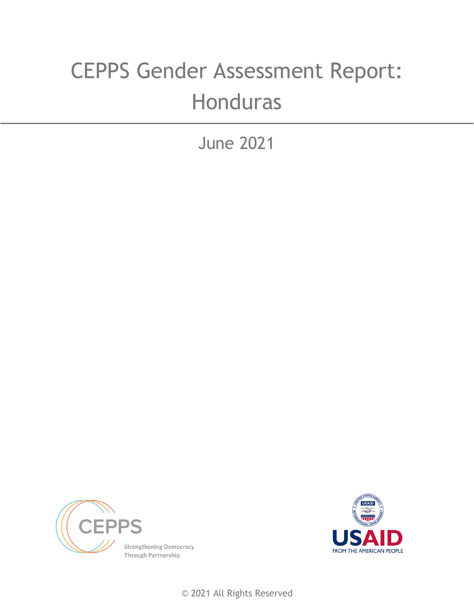# CEPPS Gender Assessment Report: **Honduras**

June 2021





© 2021 All Rights Reserved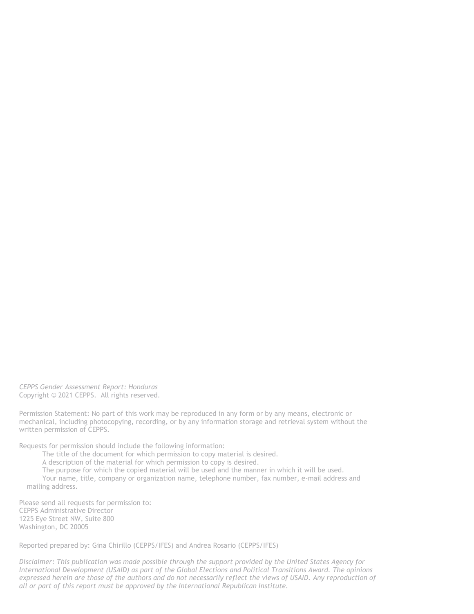*CEPPS Gender Assessment Report: Honduras* Copyright © 2021 CEPPS. All rights reserved.

Permission Statement: No part of this work may be reproduced in any form or by any means, electronic or mechanical, including photocopying, recording, or by any information storage and retrieval system without the written permission of CEPPS.

Requests for permission should include the following information:

The title of the document for which permission to copy material is desired.

A description of the material for which permission to copy is desired.

The purpose for which the copied material will be used and the manner in which it will be used.

Your name, title, company or organization name, telephone number, fax number, e-mail address and mailing address.

Please send all requests for permission to: CEPPS Administrative Director 1225 Eye Street NW, Suite 800 Washington, DC 20005

Reported prepared by: Gina Chirillo (CEPPS/IFES) and Andrea Rosario (CEPPS/IFES)

*Disclaimer: This publication was made possible through the support provided by the United States Agency for International Development (USAID) as part of the Global Elections and Political Transitions Award. The opinions*  expressed herein are those of the authors and do not necessarily reflect the views of USAID. Any reproduction of *all or part of this report must be approved by the International Republican Institute.*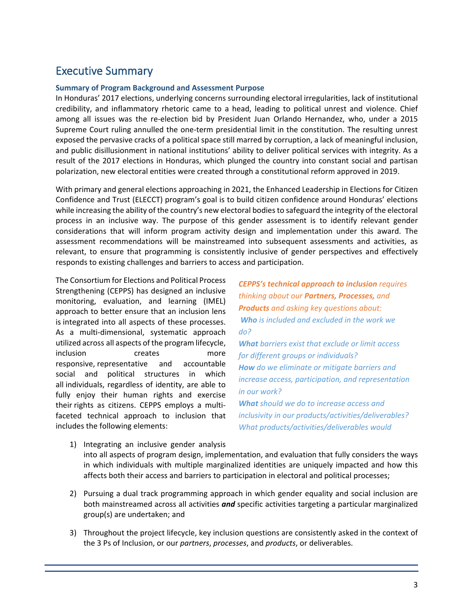# Executive Summary

#### **Summary of Program Background and Assessment Purpose**

In Honduras' 2017 elections, underlying concerns surrounding electoral irregularities, lack of institutional credibility, and inflammatory rhetoric came to a head, leading to political unrest and violence. Chief among all issues was the re-election bid by President Juan Orlando Hernandez, who, under a 2015 Supreme Court ruling annulled the one-term presidential limit in the constitution. The resulting unrest exposed the pervasive cracks of a political space still marred by corruption, a lack of meaningful inclusion, and public disillusionment in national institutions' ability to deliver political services with integrity. As a result of the 2017 elections in Honduras, which plunged the country into constant social and partisan polarization, new electoral entities were created through a constitutional reform approved in 2019.

With primary and general elections approaching in 2021, the Enhanced Leadership in Elections for Citizen Confidence and Trust (ELECCT) program's goal is to build citizen confidence around Honduras' elections while increasing the ability of the country's new electoral bodies to safeguard the integrity of the electoral process in an inclusive way. The purpose of this gender assessment is to identify relevant gender considerations that will inform program activity design and implementation under this award. The assessment recommendations will be mainstreamed into subsequent assessments and activities, as relevant, to ensure that programming is consistently inclusive of gender perspectives and effectively responds to existing challenges and barriers to access and participation.

The Consortium for Elections and Political Process Strengthening (CEPPS) has designed an inclusive monitoring, evaluation, and learning (IMEL) approach to better ensure that an inclusion lens is integrated into all aspects of these processes. As a multi-dimensional, systematic approach utilized across all aspects of the program lifecycle, inclusion creates more responsive, representative and accountable social and political structures in which all individuals, regardless of identity, are able to fully enjoy their human rights and exercise their rights as citizens. CEPPS employs a multifaceted technical approach to inclusion that includes the following elements:

*CEPPS's technical approach to inclusion requires thinking about our Partners, Processes, and Products and asking key questions about: Who is included and excluded in the work we do? What barriers exist that exclude or limit access for different groups or individuals? How do we eliminate or mitigate barriers and increase access, participation, and representation in our work? What should we do to increase access and inclusivity in our products/activities/deliverables? What products/activities/deliverables would* 

- 1) Integrating an inclusive gender analysis into all aspects of program design, implementation, and evaluation that fully considers the ways in which individuals with multiple marginalized identities are uniquely impacted and how this affects both their access and barriers to participation in electoral and political processes;
- 2) Pursuing a dual track programming approach in which gender equality and social inclusion are both mainstreamed across all activities *and* specific activities targeting a particular marginalized group(s) are undertaken; and
- 3) Throughout the project lifecycle, key inclusion questions are consistently asked in the context of the 3 Ps of Inclusion, or our *partners*, *processes*, and *products*, or deliverables.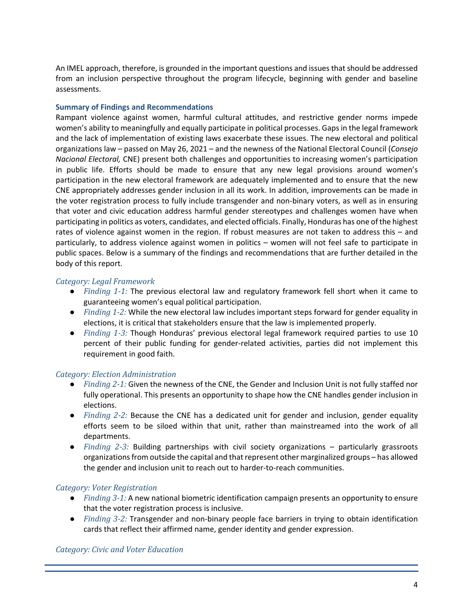An IMEL approach, therefore, is grounded in the important questions and issues that should be addressed from an inclusion perspective throughout the program lifecycle, beginning with gender and baseline assessments.

#### **Summary of Findings and Recommendations**

Rampant violence against women, harmful cultural attitudes, and restrictive gender norms impede women's ability to meaningfully and equally participate in political processes. Gaps in the legal framework and the lack of implementation of existing laws exacerbate these issues. The new electoral and political organizations law – passed on May 26, 2021 – and the newness of the National Electoral Council (*Consejo Nacional Electoral,* CNE) present both challenges and opportunities to increasing women's participation in public life. Efforts should be made to ensure that any new legal provisions around women's participation in the new electoral framework are adequately implemented and to ensure that the new CNE appropriately addresses gender inclusion in all its work. In addition, improvements can be made in the voter registration process to fully include transgender and non-binary voters, as well as in ensuring that voter and civic education address harmful gender stereotypes and challenges women have when participating in politics as voters, candidates, and elected officials. Finally, Honduras has one of the highest rates of violence against women in the region. If robust measures are not taken to address this – and particularly, to address violence against women in politics – women will not feel safe to participate in public spaces. Below is a summary of the findings and recommendations that are further detailed in the body of this report.

#### *Category: Legal Framework*

- *Finding 1-1:* The previous electoral law and regulatory framework fell short when it came to guaranteeing women's equal political participation.
- *Finding 1-2:* While the new electoral law includes important steps forward for gender equality in elections, it is critical that stakeholders ensure that the law is implemented properly.
- *Finding 1-3:* Though Honduras' previous electoral legal framework required parties to use 10 percent of their public funding for gender-related activities, parties did not implement this requirement in good faith.

#### *Category: Election Administration*

- *Finding 2-1:* Given the newness of the CNE, the Gender and Inclusion Unit is not fully staffed nor fully operational. This presents an opportunity to shape how the CNE handles gender inclusion in elections.
- *Finding 2-2:* Because the CNE has a dedicated unit for gender and inclusion, gender equality efforts seem to be siloed within that unit, rather than mainstreamed into the work of all departments.
- *Finding 2-3:* Building partnerships with civil society organizations particularly grassroots organizations from outside the capital and that represent other marginalized groups – has allowed the gender and inclusion unit to reach out to harder-to-reach communities.

#### *Category: Voter Registration*

- *Finding 3-1:* A new national biometric identification campaign presents an opportunity to ensure that the voter registration process is inclusive.
- *Finding 3-2:* Transgender and non-binary people face barriers in trying to obtain identification cards that reflect their affirmed name, gender identity and gender expression.

#### *Category: Civic and Voter Education*